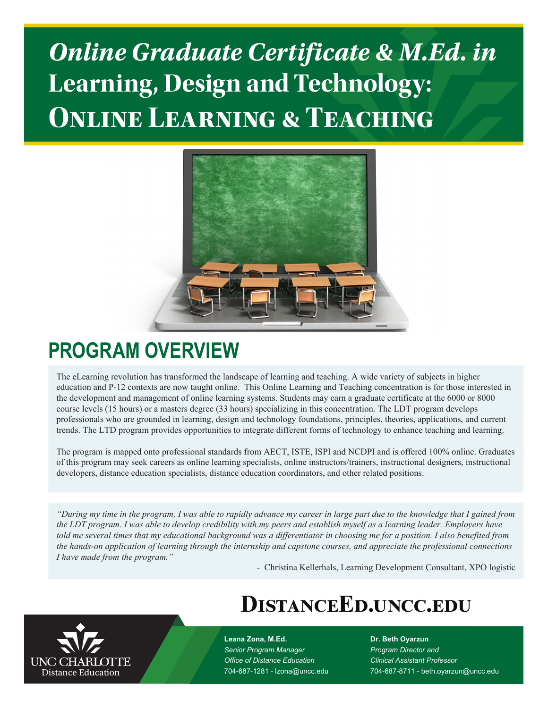# *Online Graduate Certificate & M.Ed. in* **Learning, Design and Technology: Online Learning & Teaching**



## **PROGRAM OVERVIEW**

The eLearning revolution has transformed the landscape of learning and teaching. A wide variety of subjects in higher education and P-12 contexts are now taught online. This Online Learning and Teaching concentration is for those interested in the development and management of online learning systems. Students may earn a graduate certificate at the 6000 or 8000 course levels (15 hours) or a masters degree (33 hours) specializing in this concentration. The LDT program develops professionals who are grounded in learning, design and technology foundations, principles, theories, applications, and current trends. The LTD program provides opportunities to integrate different forms of technology to enhance teaching and learning.

The program is mapped onto professional standards from AECT, ISTE, ISPI and NCDPI and is offered 100% online. Graduates of this program may seek careers as online learning specialists, online instructors/trainers, instructional designers, instructional developers, distance education specialists, distance education coordinators, and other related positions.

*"During my time in the program, I was able to rapidly advance my career in large part due to the knowledge that I gained from the LDT program. I was able to develop credibility with my peers and establish myself as a learning leader. Employers have told me several times that my educational background was a differentiator in choosing me for a position. I also benefited from the hands-on application of learning through the internship and capstone courses, and appreciate the professional connections I have made from the program."*

- Christina Kellerhals, Learning Development Consultant, XPO logistic

## **DistanceEd.uncc.edu**



**Leana Zona, M.Ed.** *Senior Program Manager Office of Distance Education* 704-687-1281 - lzona@uncc.edu **Dr. Beth Oyarzun** *Program Director and Clinical Assistant Professor* 704-687-8711 - beth.oyarzun@uncc.edu